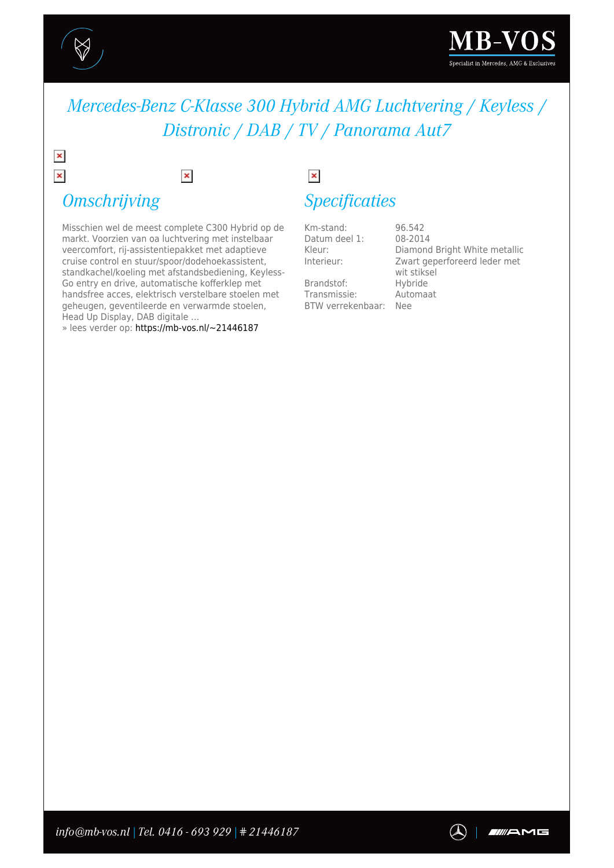

 $\pmb{\times}$  $\pmb{\times}$ 



## *Mercedes-Benz C-Klasse 300 Hybrid AMG Luchtvering / Keyless / Distronic / DAB / TV / Panorama Aut7*

# *Omschrijving*

Misschien wel de meest complete C300 Hybrid op de markt. Voorzien van oa luchtvering met instelbaar veercomfort, rij-assistentiepakket met adaptieve cruise control en stuur/spoor/dodehoekassistent, standkachel/koeling met afstandsbediening, Keyless-Go entry en drive, automatische kofferklep met handsfree acces, elektrisch verstelbare stoelen met geheugen, geventileerde en verwarmde stoelen, Head Up Display, DAB digitale …

 $\pmb{\times}$ 

» lees verder op: [https://mb-vos.nl/~21446187](https://mb-vos.nl/~PDF~21446187)

# $\pmb{\times}$

### *Specificaties*

Km-stand: 96.542<br>Datum deel 1: 08-2014 Datum deel 1:<br>Kleur:

Brandstof: Hybride Transmissie: Automaat BTW verrekenbaar: Nee

Kleur: Diamond Bright White metallic<br>Interieur: Zwart geperforeerd leder met Zwart geperforeerd leder met wit stiksel